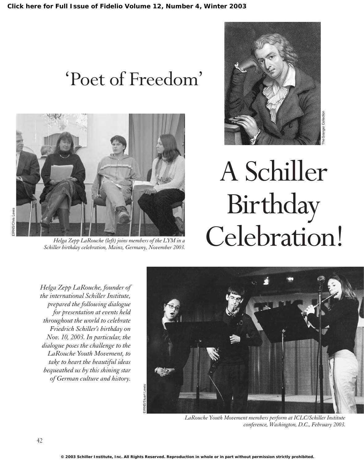## 'Poet of Freedom'



*Helga Zepp LaRouche (left) joins members of the LYM in a Schiller birthday celebration, Mainz, Germany, November 2003.*



# A Schiller Birthday Celebration!

*Helga Zepp LaRouche, founder of the international Schiller Institute, prepared the following dialogue for presentation at events held throughout the world to celebrate Friedrich Schiller's birthday on Nov. 10, 2003. In particular, the dialogue poses the challenge to the LaRouche Youth Movement, to take to heart the beautiful ideas bequeathed us by this shining star of German culture and history.*



*LaRouche Youth Movement members perform at ICLC/Schiller Institute conference, Washington, D.C., February 2003.*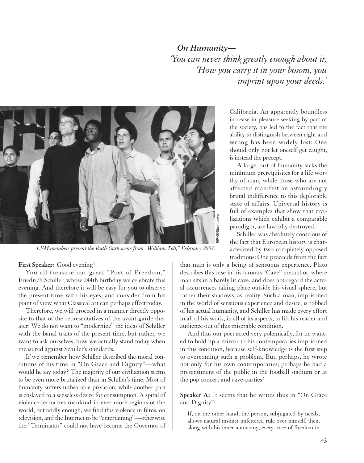### *On Humanity— 'You can never think greatly enough about it; 'How you carry it in your bosom, you imprint upon your deeds.'*



*LYM members present the Rütli Oath scene from "William Tell," February 2003.*

#### **First Speaker:** Good evening!

You all treasure our great "Poet of Freedom," Friedrich Schiller, whose 244th birthday we celebrate this evening. And therefore it will be easy for you to observe the present time with his eyes, and consider from his point of view what Classical art can perhaps effect today.

Therefore, we will proceed in a manner directly opposite to that of the representatives of the avant-garde theater: We do not want to "modernize" the ideas of Schiller with the banal traits of the present time, but rather, we want to ask ourselves, how we actually stand today when measured against Schiller's standards.

If we remember how Schiller described the moral conditions of his time in "On Grace and Dignity"—what would he say today? The majority of our civilization seems to be even more brutalized than in Schiller's time. Most of humanity suffers unbearable privation, while another part is enslaved to a senseless desire for consumption. A spiral of violence terrorizes mankind in ever more regions of the world, but oddly enough, we find this violence in films, on television, and the Internet to be "entertaining"—otherwise the "Terminator" could not have become the Governor of California. An apparently boundless increase in pleasure-seeking by part of the society, has led to the fact that the ability to distinguish between right and wrong has been widely lost: One should only not let oneself get caught, is instead the precept.

A large part of humanity lacks the minimum prerequisites for a life worthy of man, while those who are not affected manifest an astoundingly brutal indifference to this deplorable state of affairs. Universal history is full of examples that show that civilizations which exhibit a comparable paradigm, are lawfully destroyed.

Schiller was absolutely conscious of the fact that European history is characterized by two completely opposed traditions: One proceeds from the fact

that man is only a being of sensuous experience. Plato describes this case in his famous "Cave" metaphor, where man sits in a barely lit cave, and does not regard the actual occurrences taking place outside his visual sphere, but rather their shadows, as reality. Such a man, imprisoned in the world of sensuous experience and desire, is robbed of his actual humanity, and Schiller has made every effort in all of his work, in all of its aspects, to lift his reader and audience out of this miserable condition.

And thus our poet acted very polemically, for he wanted to hold up a mirror to his contemporaries imprisoned in this condition, because self-knowledge is the first step to overcoming such a problem. But, perhaps, he wrote not only for his own contemporaries; perhaps he had a presentiment of the public in the football stadium or at the pop concert and rave-parties?

**Speaker A:** It seems that he writes thus in "On Grace and Dignity":

If, on the other hand, the person, subjugated by needs, allows natural instinct unfettered rule over himself, then, along with his inner autonomy, every trace of freedom in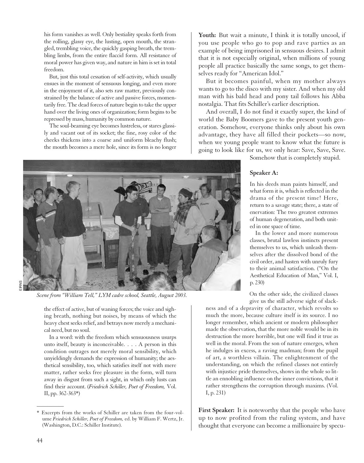his form vanishes as well. Only bestiality speaks forth from the rolling, glassy eye, the lusting, open mouth, the strangled, trembling voice, the quickly gasping breath, the trembling limbs, from the entire flaccid form. All resistance of moral power has given way, and nature in him is set in total freedom.

But, just this total cessation of self-activity, which usually ensues in the moment of sensuous longing, and even more in the enjoyment of it, also sets raw matter, previously constrained by the balance of active and passive forces, momentarily free. The dead forces of nature begin to take the upper hand over the living ones of organization; form begins to be repressed by mass, humanity by common nature.

The soul-beaming eye becomes lustreless, or stares glassily and vacant out of its socket; the fine, rosy color of the cheeks thickens into a coarse and uniform bleachy flush; the mouth becomes a mere hole, since its form is no longer

Youth: But wait a minute, I think it is totally uncool, if you use people who go to pop and rave parties as an example of being imprisoned in sensuous desires. I admit that it is not especially original, when millions of young people all practice basically the same songs, to get themselves ready for "American Idol."

But it becomes painful, when my mother always wants to go to the disco with my sister. And when my old man with his bald head and pony tail follows his Abba nostalgia. That fits Schiller's earlier description.

And overall, I do not find it exactly super, the kind of world the Baby Boomers gave to the present youth generation. Somehow, everyone thinks only about his own advantage, they have all filled their pockets—so now, when we young people want to know what the future is going to look like for us, we only hear: Save, Save, Save.

*Scene from "William Tell," LYM cadre school, Seattle, August 2003.*

the effect of active, but of waning forces; the voice and sighing breath, nothing but noises, by means of which the heavy chest seeks relief, and betrays now merely a mechanical need, but no soul.

In a word: with the freedom which sensuousness usurps unto itself, beauty is inconceivable. . . . A person in this condition outrages not merely moral sensibility, which unyieldingly demands the expression of humanity; the aesthetical sensibility, too, which satisfies itself not with mere matter, rather seeks free pleasure in the form, will turn away in disgust from such a sight, in which only lusts can find their account. (*Friedrich Schiller, Poet of Freedom,* Vol. II, pp. 362-363\*)

Somehow that is completely stupid.

#### **Speaker A:**

In his deeds man paints himself, and what form it is, which is reflected in the drama of the present time! Here, return to a savage state; there, a state of enervation: The two greatest extremes of human degeneration, and both united in one space of time.

In the lower and more numerous classes, brutal lawless instincts present themselves to us, which unleash themselves after the dissolved bond of the civil order, and hasten with unruly fury to their animal satisfaction. ("On the Aesthetical Education of Man," Vol. I, p. 230)

On the other side, the civilized classes give us the still adverse sight of slack-

ness and of a depravity of character, which revolts so much the more, because culture itself is its source. I no longer remember, which ancient or modern philosopher made the observation, that the more noble would be in its destruction the more horrible, but one will find it true as well in the moral. From the son of nature emerges, when he indulges in excess, a raving madman; from the pupil of art, a worthless villain. The enlightenment of the understanding, on which the refined classes not entirely with injustice pride themselves, shows in the whole so little an ennobling influence on the inner convictions, that it rather strengthens the corruption through maxims. (Vol. I, p. 231)

**First Speaker:** It is noteworthy that the people who have up to now profited from the ruling system, and have thought that everyone can become a millionaire by specu-



44

 $\overline{\phantom{a}}$ 

Excerpts from the works of Schiller are taken from the four-volume *Friedrich Schiller, Poet of Freedom,* ed. by William F. Wertz, Jr. (Washington, D.C.: Schiller Institute).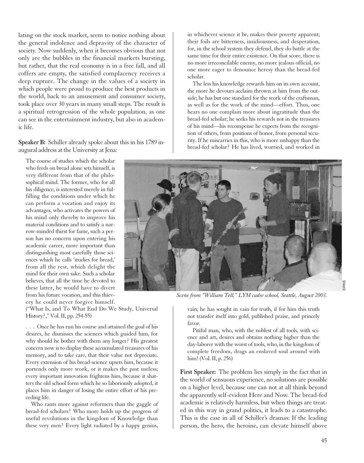lating on the stock market, seem to notice nothing about the general indolence and depravity of the character of society. Now suddenly, when it becomes obvious that not only are the bubbles in the financial markets bursting, but rather, that the real economy is in a free fall, and all coffers are empty, the satisfied complacency receives a deep rupture. The change in the values of a society in which people were proud to produce the best products in the world, back to an amusement and consumer society, took place over 30 years in many small steps. The result is a spiritual retrogression of the whole population, as one can see in the entertainment industry, but also in academic life.

**Speaker B:** Schiller already spoke about this in his 1789 inaugural address at the University at Jena:

The course of studies which the scholar who feeds on bread alone sets himself, is very different from that of the philosophical mind. The former, who for all his diligence, is interested merely in fulfilling the conditions under which he can perform a vocation and enjoy its advantages, who activates the powers of his mind only thereby to improve his material conditions and to satisfy a narrow-minded thirst for fame, such a person has no concern upon entering his academic career, more important than distinguishing most carefully those sciences which he calls 'studies for bread,' from all the rest, which delight the mind for their own sake. Such a scholar believes, that all the time he devoted to these latter, he would have to divert from his future vocation, and this thievery he could never forgive himself.

*Scene from "William Tell," LYM cadre school, Seattle, August 2003.*

in whichever science it be, makes their poverty apparent; their foils are bitterness, insidiousness, and desperation, for, in the school system they defend, they do battle at the same time for their entire existence. On that score, there is no more irreconcilable enemy, no more jealous official, no one more eager to denounce heresy than the bread-fed

The less his knowledge rewards him on its own account, the more he devours acclaim thrown at him from the outside; he has but one standard for the work of the craftsman, as well as for the work of the mind—effort. Thus, one hears no one complain more about ingratitude than the bread-fed scholar; he seeks his rewards not in the treasures of his mind—his recompense he expects from the recognition of others, from positions of honor, from personal security. If he miscarries in this, who is more unhappy than the bread-fed scholar? He has lived, worried, and worked in

vain; he has sought in vain for truth, if for him this truth not transfer itself into gold, published praise, and princely favor.

Pitiful man, who, with the noblest of all tools, with science and art, desires and obtains nothing higher than the day-laborer with the worst of tools, who, in the kingdom of complete freedom, drags an enslaved soul around with him! (Vol. II, p. 256)

**First Speaker:** The problem lies simply in the fact that in the world of sensuous experience, no solutions are possible on a higher level, because one can not at all think beyond the apparently self-evident Here and Now. The bread-fed academic is relatively harmless, but when things are treated in this way in grand politics, it leads to a catastrophe. This is the case in all of Schiller's dramas: If the leading person, the hero, the heroine, can elevate himself above

("What Is, and To What End Do We Study, Universal History?," Vol. II, pp. 254-55)

. . . Once he has run his course and attained the goal of his desires, he dismisses the sciences which guided him, for why should he bother with them any longer? His greatest concern now is to display these accumulated treasures of his memory, and to take care, that their value not depreciate. Every extension of his bread-science upsets him, because it portends only more work, or it makes the past useless; every important innovation frightens him, because it shatters the old school form which he so laboriously adopted, it places him in danger of losing the entire effort of his preceding life.

Who rants more against reformers than the gaggle of bread-fed scholars? Who more holds up the progress of useful revolutions in the kingdom of Knowledge than these very men? Every light radiated by a happy genius,

EIRNS



scholar.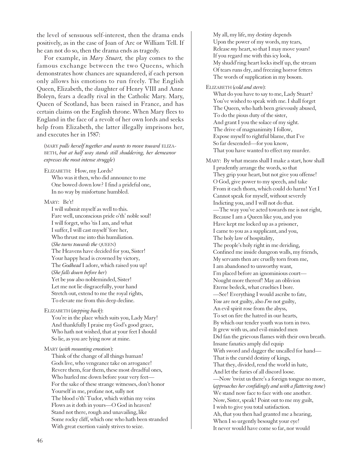the level of sensuous self-interest, then the drama ends positively, as in the case of Joan of Arc or William Tell. If he can not do so, then the drama ends as tragedy.

For example, in *Mary Stuart,* the play comes to the famous exchange between the two Queens, which demonstrates how chances are squandered, if each person only allows his emotions to run freely. The English Queen, Elizabeth, the daughter of Henry VIII and Anne Boleyn, fears a deadly rival in the Catholic Mary. Mary, Queen of Scotland, has been raised in France, and has certain claims on the English throne. When Mary flees to England in the face of a revolt of her own lords and seeks help from Elizabeth, the latter illegally imprisons her, and executes her in 1587:

(MARY *pulls herself together and wants to move toward* ELIZA-BETH, *but at half way stands still shuddering, her demeanor expresses the most intense struggle*)

ELIZABETH: How, my Lords?

Who was it then, who did announce to me One bowed down low? I find a prideful one, In no way by misfortune humbled.

#### MARY: Be't!

I will submit myself as well to this. Fare well, unconscious pride o'th' noble soul! I will forget, who 'tis I am, and what I suffer, I will cast myself 'fore her, Who thrust me into this humiliation (*She turns towards the* QUEEN) The Heavens have decided for you, Sister! Your happy head is crowned by victory, The *Godhead* I adore, which raised you up! (*She falls down before her*) Yet be *you* also nobleminded, Sister! Let me not lie disgracefully, your hand Stretch out, extend to me the royal rights, To elevate me from this deep decline.

ELIZABETH (*stepping back*):

You're in the place which suits you, Lady Mary! And thankfully I praise my God's good grace, Who hath not wished, that at your feet I should So lie, as you are lying now at mine.

MARY (*with mounting emotion*):

Think of the change of all things human! Gods live, who vengeance take on arrogance! Revere them, fear them, these most dreadful ones, Who hurled me down before your very feet— For the sake of these strange witnesses, don't honor Yourself in me, profane not, sully not The blood o'th' Tudor, which within my veins Flows as it doth in yours—O God in heaven! Stand not there, rough and unavailing, like Some rocky cliff, which one who hath been stranded With great exertion vainly strives to seize.

My all, my life, my destiny depends Upon the power of my words, my tears, Release *my* heart, so that I may move yours! If you regard me with this icy look, My shudd'ring heart locks itself up, the stream Of tears runs dry, and freezing horror fetters The words of supplication in my bosom.

ELIZABETH (*cold and stern*):

What do you have to say to me, Lady Stuart? You've wished to speak with me. I shall forget The Queen, who hath been grievously abused, To do the pious duty of the sister, And grant I you the solace of my sight. The drive of magnanimity I follow, Expose myself to rightful blame, that I've So far descended—for you know, That you have wanted to effect my murder.

MARY: By what means shall I make a start, how shall I prudently arrange the words, so that They grip your heart, but not give you offense! O God, give power to my speech, and take From it each thorn, which could do harm! Yet I Cannot speak for myself, without severely Indicting you, and I will not do that. —The way you've acted towards me is not right, Because I am a Queen like you, and you Have kept me locked up as a prisoner, I came to you as a supplicant, and you, The holy law of hospitality, The people's holy right in me deriding, Confined me inside dungeon walls, my friends, My servants then are cruelly torn from me, I am abandoned to unworthy want, I'm placed before an ignominious court— Nought more thereof! May an oblivion Eterne bedeck, what cruelties I bore. —See! Everything I would ascribe to fate, *You* are not guilty, also *I'm* not guilty, An evil spirit rose from the abyss, To set on fire the hatred in our hearts, By which our tender youth was torn in two. It grew with us, and evil-minded men Did fan the grievous flames with their own breath. Insane fanatics amply did equip With sword and dagger the uncalled for hand— That is the curséd destiny of kings, That they, divided, rend the world in hate, And let the furies of all discord loose. —Now 'twixt us there's a foreign tongue no more, (*approaches her confidingly and with a flattering tone*) We stand now face to face with one another. Now, Sister, speak! Point out to me my guilt, I wish to give you total satisfaction. Ah, that you then had granted me a hearing, When I so urgently besought your eye! It never would have come so far, nor would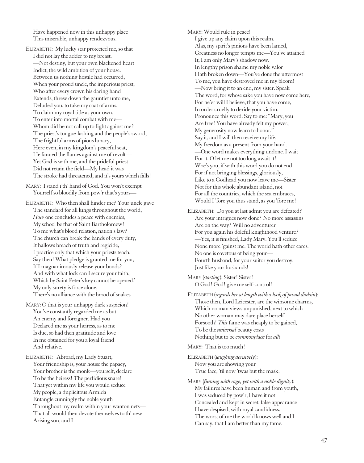Have happened now in this unhappy place This miserable, unhappy rendezvous.

ELIZABETH: My lucky star protected me, so that I did not lay the adder to my breast. —Not destiny, but your own blackened heart Indict, the wild ambition of your house. Between us nothing hostile had occurred, When your proud uncle, the imperious priest, Who after every crown his daring hand Extends, threw down the gauntlet unto me, Deluded you, to take my coat of arms, To claim my royal title as your own, To enter into mortal combat with me— Whom did he not call up to fight against me? The priest's tongue-lashing and the people's sword, The frightful arms of pious lunacy, Here even, in my kingdom's peaceful seat, He fanned the flames against me of revolt— Yet God is with me, and the prideful priest Did not retain the field—My head it was The stroke had threatened, and it's yours which falls!

MARY: I stand i'th' hand of God. You won't exempt Yourself so bloodily from pow'r that's yours—

ELIZABETH: Who then shall hinder me? Your uncle gave The standard for all kings throughout the world, *How*one concludes a peace with enemies, My school be that of Saint Bartholomew! To me what's blood relation, nation's law? The church can break the bands of every duty, It hallows breach of truth and regicide, I practice only that which your priests teach. Say then! What pledge is granted me for you, If I magnanimously release your bonds? And with what lock can I secure your faith, Which by Saint Peter's key cannot be opened? My only surety is force alone, There's no alliance with the brood of snakes.

MARY: O that is your unhappy dark suspicion! You've constantly regarded me as but An enemy and foreigner. Had you Declared me as your heiress, as to me Is due, so had then gratitude and love In me obtained for you a loyal friend And relative.

ELIZABETH: Abroad, my Lady Stuart, Your friendship is, your house the papacy, Your brother is the monk—yourself, declare To be the heiress! The perfidious snare! That yet within my life you would seduce My people, a duplicitous Armida Entangle cunningly the noble youth Throughout my realm within your wanton nets— That all would then devote themselves to th' new Arising sun, and I—

MARY: Would rule in peace! I give up any claim upon this realm. Alas, my spirit's pinions have been lamed, Greatness no longer tempts me—You've attained It, I am only Mary's shadow now. In lengthy prison shame my noble valor Hath broken down—You've done the uttermost To me, you have destroyed me in my bloom! —Now bring it to an end, my sister. Speak The word, for whose sake you have now come here, For ne'er will I believe, that you have come, In order cruelly to deride your victim. Pronounce this word. Say to me: "Mary, you Are free! You have already felt my power, My generosity now learn to honor." Say it, and I will then receive my life, My freedom as a present from your hand. —One word makes everything undone. I wait For it. O let me not too long await it! Woe's you, if with this word you do not end! For if not bringing blessings, gloriously, Like to a Godhead you now leave me—Sister! Not for this whole abundant island, not For all the countries, which the sea embraces, Would I 'fore you thus stand, as you 'fore me!

ELIZABETH: Do you at last admit you are defeated? Are your intrigues now done? No more assassins Are on the way? Will no adventurer For you again his doleful knighthood venture? —Yes, it is finished, Lady Mary. You'll seduce None more 'gainst me. The world hath other cares. No one is covetous of being your— Fourth husband, for your suitor you destroy, Just like your husbands!

MARY (*starting*): Sister! Sister! O God! God! give me self-control!

ELIZABETH (*regards her at length with a look of proud disdain*): Those then, Lord Leicester, are the winsome charms, Which no man views unpunished, next to which No other woman may dare place herself! Forsooth! *This* fame was cheaply to be gained, To be the *universal* beauty costs Nothing but to be *commonplace* for all!

MARY: That is too much!

ELIZABETH (*laughing derisively*): Now you are showing your True face, 'til now 'twas but the mask.

MARY (*fuming with rage, yet with a noble dignity*): My failures have been human and from youth, I was seduced by pow'r, I have it not Concealed and kept in secret, false appearance I have despised, with royal candidness. The worst of me the world knows well and I Can say, that I am better than my fame.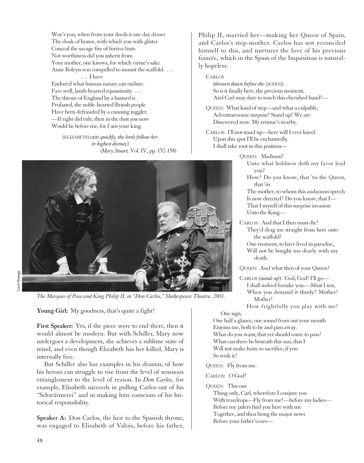Woe's you, when from your deeds it one day draws The cloak of honor, with which you with glister Conceal the savage fire of furtive lusts. Not worthiness did you inherit from Your mother, one knows, for which virtue's sake Anne Boleyn was compelled to mount the scaffold. . . .

#### . . . I have

Endured what human nature can endure. Fare well, lamb-hearted equanimity. ... The throne of England by a bastard is Profaned, the noble-hearted British people Have been defrauded by a cunning juggler. —If right did rule, then in the dust *you* now Would lie before me, for *I* am your king.

> (ELIZABETH *exits quickly, the lords follow her in highest dismay*) (*Mary Stuart,* Vol. IV, pp. 152-158)



*The Marquis of Posa and King Philip II, in "Don Carlos," Shakespeare Theatre, 2001.*

Young Girl: My goodness, that's quite a fight!

**First Speaker:** Yes, if the piece were to end there, then it would almost be modern. But with Schiller, Mary now undergoes a development, she achieves a sublime state of mind, and even though Elizabeth has her killed, Mary is internally free.

But Schiller also has examples in his dramas, of how his heroes can struggle to rise from the level of sensuous entanglement to the level of reason. In *Don Carlos,* for example, Elisabeth succeeds in pulling Carlos out of his "Schwärmerei" and in making him conscious of his historical responsibility.

**Speaker A:** Don Carlos, the heir to the Spanish throne, was engaged to Elisabeth of Valois, before his father, Philip II, married her—making her Queen of Spain, and Carlos's step-mother. Carlos has not reconciled himself to this, and nurtures the love of his previous fiancée, which in the Spain of the Inquisition is naturally hopeless:

#### **CARLOS**

(*thrown down before the* QUEEN): So is it finally here, the precious moment, And Carl may dare to touch this cherished hand!—

QUEEN: What kind of step—and what a culpable, Adventuresome surprise! Stand up! We are Discovered now. My retinue's nearby.

CARLOS: I'll not stand up—here will I ever kneel. Upon this spot I'll lie enchantedly. I shall take root in this position—

QUEEN: Madman!

- Unto what boldness doth my favor lead you?
- How? Do you know, that 'tis the Queen, that 'tis

The mother, to whom this audacious speech Is now directed? Do you know, that I— That I myself of this surprise invasion Unto the King—

CARLOS: And that I then must die! They'd drag me straight from here onto the scaffold! One moment, to have lived in paradise, Will not be bought too dearly with my death.

QUEEN: And what then of your Queen?

CARLOS (*stands up*): God, God! I'll go— I shall indeed forsake you.—Must I not, When you demand it thusly? Mother! Mother!

How frightfully you play with me!

One half a glance, one sound from out your mouth Enjoins me, both to be and pass away. What do you want, that yet should come to pass? What can there be beneath this sun, that I Will not make haste to sacrifice, if you So wish it?

QUEEN: Fly from me.

One sign,

CARLOS: O God!

QUEEN: This one

Thing only, Carl, wherefore I conjure you With teardrops—Fly from me!—before my ladies— Before my jailers find you here with me Together, and then bring the major news Before your father's ears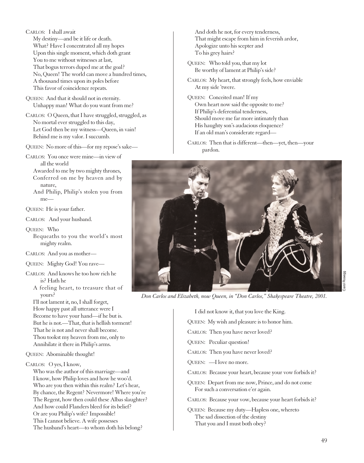CARLOS: I shall await My destiny—and be it life or death. What? Have I concentrated all my hopes Upon this single moment, which doth grant You to me without witnesses at last, That bogus terrors duped me at the goal? No, Queen! The world can move a hundred times, A thousand times upon its poles before This favor of coincidence repeats.

- QUEEN: And that it should not in eternity. Unhappy man! What do you want from me?
- CARLOS: O Queen, that I have struggled, struggled, as No mortal ever struggled to this day, Let God then be my witness—Queen, in vain! Behind me is my valor. I succumb.
- QUEEN: No more of this—for my repose's sake—
- CARLOS: You once were mine—in view of all the world

Awarded to me by two mighty thrones, Conferred on me by heaven and by nature,

And Philip, Philip's stolen you from me—

QUEEN: He is your father.

CARLOS: And your husband.

QUEEN: Who Bequeaths to you the world's most mighty realm.

CARLOS: And you as mother—

QUEEN: Mighty God! You rave—

- CARLOS: And knows he too how rich he is? Hath he
	- A feeling heart, to treasure that of yours?

I'll not lament it, no, I shall forget, How happy past all utterance were I Become to have your hand—if he but is. But he is not.—That, that is hellish torment! That he is not and never shall become. Thou tookst my heaven from me, only to Annihilate it there in Philip's arms.

QUEEN: Abominable thought!

CARLOS: O yes, I know,

Who was the author of this marriage—and I know, how Philip loves and how he woo'd. Who are you then within this realm? Let's hear, By chance, the Regent? Nevermore! Where you're The Regent, how then could these Albas slaughter? And how could Flanders bleed for its belief? Or are you Philip's wife? Impossible! This I cannot believe. A wife possesses The husband's heart—to whom doth his belong?

And doth he not, for every tenderness, That might escape from him in feverish ardor, Apologize unto his scepter and To his grey hairs?

QUEEN: Who told you, that my lot Be worthy of lament at Philip's side?

CARLOS: My heart, that strongly feels, how enviable At my side 'twere.

QUEEN: Conceited man! If my Own heart now said the opposite to me? If Philip's deferential tenderness, Should move me far more intimately than His haughty son's audacious eloquence? If an old man's considerate regard—

CARLOS: Then that is different—then—yet, then—your pardon.



*Don Carlos and Elizabeth, now Queen, in "Don Carlos," Shakespeare Theatre, 2001.*

| I did not know it, that you love the King.                                                                         |  |
|--------------------------------------------------------------------------------------------------------------------|--|
| QUEEN: My wish and pleasure is to honor him.                                                                       |  |
| CARLOS: Then you have never loved?                                                                                 |  |
| QUEEN: Peculiar question!                                                                                          |  |
| CARLOS: Then you have never loved?                                                                                 |  |
| QUEEN: —I love no more.                                                                                            |  |
| CARLOS: Because your heart, because your vow forbids it?                                                           |  |
| QUEEN: Depart from me now, Prince, and do not come<br>For such a conversation e'er again.                          |  |
| CARLOS: Because your vow, because your heart forbids it?                                                           |  |
| QUEEN: Because my duty—Hapless one, whereto<br>The sad dissection of the destiny<br>That you and I must both obey? |  |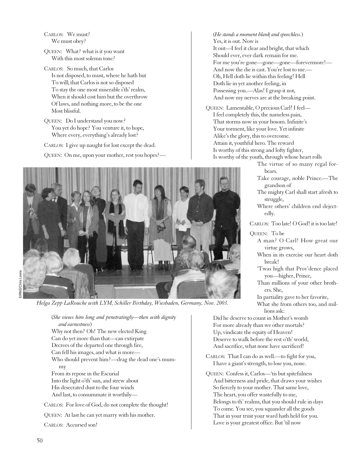CARLOS: We must? We must obey?

QUEEN: What? what is it you want With this most solemn tone?

CARLOS: So much, that Carlos

Is not disposed, to must, where he hath but To will; that Carlos is not so disposed To stay the one most miserable i'th' realm, When it should cost him but the overthrow Of laws, and nothing more, to be the one Most blissful.

QUEEN: Do I understand you now? You yet do hope? You venture it, to hope, Where every, everything's already lost?

CARLOS: I give up naught for lost except the dead.

QUEEN: On me, upon your mother, rest you hopes?—

#### (*He stands a moment blank and speechless.*) Yes, it is out. Now is It out—I feel it clear and bright, that which Should ever, ever dark remain for me. For me you're gone—gone—gone—forevermore!— And now the die is cast. You're lost to me.— Oh, Hell doth lie within this feeling! Hell Doth lie in yet another feeling, in Possessing you.—Alas! I grasp it not, And now my nerves are at the breaking point.

QUEEN: Lamentable, O precious Carl! I feel— I feel completely this, the nameless pain, That storms now in your bosom. Infinite's Your torment, like your love. Yet infinite Alike's the glory, this to overcome. Attain it, youthful hero. The reward Is worthy of this strong and lofty fighter, Is worthy of the youth, through whose heart rolls

The virtue of so many regal forbears.

Take courage, noble Prince.—The grandson of

- The mighty Carl shall start afresh to struggle,
- Where others' children end dejectedly.

CARLOS: Too late! O God! it is too late!

QUEEN: To be

- A man? O Carl! How great our virtue grows,
- When in its exercise our heart doth break!
- 'Twas high that Prov'dence placed you—higher, Prince,

Than millions of your other brothers. She,

In partiality gave to her favorite, What she from others too, and mil-

lions ask:

Did he deserve to count in Mother's womb For more already than we other mortals? Up, vindicate the equity of Heaven! Deserve to walk before the rest o'th' world, And sacrifice, what none have sacrificed!

CARLOS: That I can do as well.—to fight for you, I have a giant's strength, to lose you, none.

QUEEN: Confess it, Carlos—'tis but spitefulness And bitterness and pride, that draws your wishes So fiercely to your mother. That same love, The heart, you offer wastefully to me, Belongs to th' realms, that you should rule in days To come. You see, you squander all the goods That in your trust your ward hath held for you. Love is your greatest office. But 'til now

*Helga Zepp LaRouche with LYM, Schiller Birthday, Wiesbaden, Germany, Nov. 2003.*

(*She views him long and penetratingly—then with dignity and earnestness*) Why not then? Oh! The new elected King Can do yet more than that—can extirpate Decrees of the departed one through fire, Can fell his images, and what is more— Who should prevent him?—drag the dead one's mummy From its repose in the Escurial Into the light o'th' sun, and strew about His desecrated dust to the four winds And last, to consummate it worthily— CARLOS: For love of God, do not complete the thought!

QUEEN: At last he can yet marry with his mother.

CARLOS: Accursed son!

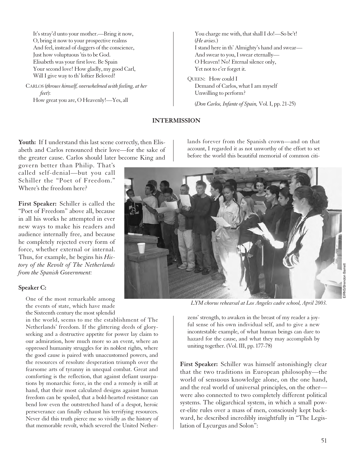It's stray'd unto your mother.—Bring it now, O, bring it now to your prospective realms And feel, instead of daggers of the conscience, Just how voluptuous 'tis to be God. Elisabeth was your first love. Be Spain Your second love! How gladly, my good Carl, Will I give way to th' loftier Beloved!

CARLOS (*throws himself, overwhelmed with feeling, at her feet*): How great you are, O Heavenly!—Yes, all

You charge me with, that shall I do!—So be't! (*He arises.*) I stand here in th' Almighty's hand and swear— And swear to you, I swear eternally— O Heaven! No! Eternal silence only, Yet not to e'er forget it.

QUEEN: How could I Demand of Carlos, what I am myself Unwilling to perform?

(*Don Carlos, Infante of Spain,* Vol. I, pp. 21-25)

#### **INTERMISSION**

**Youth:** If I understand this last scene correctly, then Elisabeth and Carlos renounced their love—for the sake of the greater cause. Carlos should later become King and

govern better than Philip. That's called self-denial—but you call Schiller the "Poet of Freedom." Where's the freedom here?

**First Speaker:** Schiller is called the "Poet of Freedom" above all, because in all his works he attempted in ever new ways to make his readers and audience internally free, and because he completely rejected every form of force, whether external or internal. Thus, for example, he begins his *History of the Revolt of The Netherlands from the Spanish Government:*

#### **Speaker C:**

One of the most remarkable among the events of state, which have made the Sixteenth century the most splendid

in the world, seems to me the establishment of The Netherlands' freedom. If the glittering deeds of gloryseeking and a destructive appetite for power lay claim to our admiration, how much more so an event, where an oppressed humanity struggles for its noblest rights, where the good cause is paired with unaccustomed powers, and the resources of resolute desperation triumph over the fearsome arts of tyranny in unequal combat. Great and comforting is the reflection, that against defiant usurpations by monarchic force, in the end a remedy is still at hand, that their most calculated designs against human freedom can be spoiled, that a bold-hearted resistance can bend low even the outstretched hand of a despot, heroic perseverance can finally exhaust his terrifying resources. Never did this truth pierce me so vividly as the history of that memorable revolt, which severed the United Netherlands forever from the Spanish crown—and on that account, I regarded it as not unworthy of the effort to set before the world this beautiful memorial of common citi-



*LYM chorus rehearsal at Los Angeles cadre school, April 2003.*

zens' strength, to awaken in the breast of my reader a joyful sense of his own individual self, and to give a new incontestable example, of what human beings can dare to hazard for the cause, and what they may accomplish by uniting together. (Vol. III, pp. 177-78)

**First Speaker:** Schiller was himself astonishingly clear that the two traditions in European philosophy—the world of sensuous knowledge alone, on the one hand, and the real world of universal principles, on the other were also connected to two completely different political systems. The oligarchical system, in which a small power-elite rules over a mass of men, consciously kept backward, he described incredibly insightfully in "The Legislation of Lycurgus and Solon":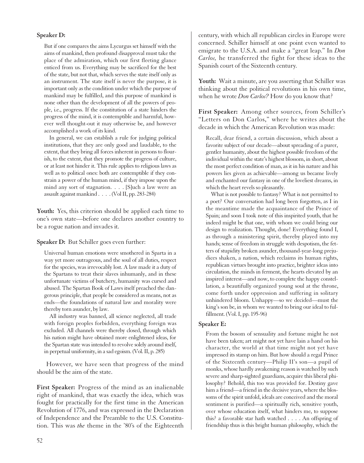#### **Speaker D:**

But if one compares the aims Lycurgus set himself with the aims of mankind, then profound disapproval must take the place of the admiration, which our first fleeting glance enticed from us. Everything may be sacrificed for the best of the state, but not that, which serves the state itself only as an instrument. The state itself is never the purpose, it is important only as the condition under which the purpose of mankind may be fulfilled, and this purpose of mankind is none other than the development of all the powers of people, i.e., progress. If the constitution of a state hinders the progress of the mind, it is contemptible and harmful, however well thought-out it may otherwise be, and however accomplished a work of its kind.

In general, we can establish a rule for judging political institutions, that they are only good and laudable, to the extent, that they bring all forces inherent in persons to flourish, to the extent, that they promote the progress of culture, or at least not hinder it. This rule applies to religious laws as well as to political ones: both are contemptible if they constrain a power of the human mind, if they impose upon the mind any sort of stagnation. . . . [S]uch a law were an assault against mankind . . . . (Vol II, pp. 283-284)

Youth: Yes, this criterion should be applied each time to one's own state—before one declares another country to be a rogue nation and invades it.

**Speaker D:** But Schiller goes even further:

Universal human emotions were smothered in Sparta in a way yet more outrageous, and the soul of all duties, respect for the species, was irrevocably lost. A law made it a duty of the Spartans to treat their slaves inhumanly, and in these unfortunate victims of butchery, humanity was cursed and abused. The Spartan Book of Laws itself preached the dangerous principle, that people be considered as means, not as ends—the foundations of natural law and morality were thereby torn asunder, by law.

All industry was banned, all science neglected, all trade with foreign peoples forbidden, everything foreign was excluded. All channels were thereby closed, through which his nation might have obtained more enlightened ideas, for the Spartan state was intended to revolve solely around itself, in perpetual uniformity, in a sad egoism. (Vol. II, p. 285)

However, we have seen that progress of the mind should be the aim of the state.

**First Speaker:** Progress of the mind as an inalienable right of mankind, that was exactly the idea, which was fought for practically for the first time in the American Revolution of 1776, and was expressed in the Declaration of Independence and the Preamble to the U.S. Constitution. This was *the* theme in the '80's of the Eighteenth century, with which all republican circles in Europe were concerned. Schiller himself at one point even wanted to emigrate to the U.S.A. and make a "great leap." In *Don Carlos,* he transferred the fight for these ideas to the Spanish court of the Sixteenth century.

**Youth:** Wait a minute, are you asserting that Schiller was thinking about the political revolutions in his own time, when he wrote *Don Carlos?* How do you know that?

**First Speaker:** Among other sources, from Schiller's "Letters on Don Carlos," where he writes about the decade in which the American Revolution was made:

Recall, dear friend, a certain discussion, which about a favorite subject of our decade—about spreading of a purer, gentler humanity, about the highest possible freedom of the individual within the state's highest blossom, in short, about the most perfect condition of man, as it in his nature and his powers lies given as achievable—among us became lively and enchanted our fantasy in one of the loveliest dreams, in which the heart revels so pleasantly.

What is not possible to fantasy? What is not permitted to a poet? Our conversation had long been forgotten, as I in the meantime made the acquaintance of the Prince of Spain; and soon I took note of this inspirited youth, that he indeed might be that one, with whom we could bring our design to realization. Thought, done! Everything found I, as through a ministering spirit, thereby played into my hands; sense of freedom in struggle with despotism, the fetters of stupidity broken asunder, thousand-year-long prejudices shaken, a nation, which reclaims its human rights, republican virtues brought into practice, brighter ideas into circulation, the minds in ferment, the hearts elevated by an inspired interest—and now, to complete the happy constellation, a beautifully organized young soul at the throne, come forth under oppression and suffering in solitary unhindered bloom. Unhappy—so we decided—must the king's son be, in whom we wanted to bring our ideal to fulfillment. (Vol. I, pp. 195-96)

#### **Speaker E:**

From the bosom of sensuality and fortune might he not have been taken; art might not yet have lain a hand on his character, the world at that time might not yet have impressed its stamp on him. But how should a regal Prince of the Sixteenth century—Philip II's son—a pupil of monks, whose hardly awakening reason is watched by such severe and sharp-sighted guardians, acquire this liberal philosophy? Behold, this too was provided for. Destiny gave him a friend—a friend in the decisive years, where the blossoms of the spirit unfold, ideals are conceived and the moral sentiment is purified—a spiritually rich, sensitive youth, over whose education itself, what hinders me, to suppose this? a favorable star hath watched . . . . An offspring of friendship thus is this bright human philosophy, which the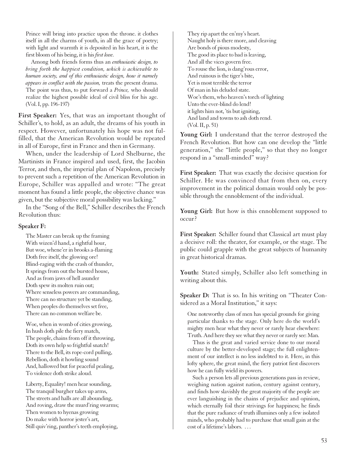Prince will bring into practice upon the throne. it clothes itself in all the charms of youth, in all the grace of poetry; with light and warmth it is deposited in his heart, it is the first bloom of his being, it is his *first love.*

Among both friends forms thus an *enthusiastic design, to bring forth the happiest condition, which is achievable to human society, and of this enthusiastic design, how it namely appears in conflict with the passion,* treats the present drama. The point was thus, to put forward a *Prince,* who should realize the highest possible ideal of civil bliss for his age. (Vol. I, pp. 196-197)

**First Speaker:** Yes, that was an important thought of Schiller's, to hold, as an adult, the dreams of his youth in respect. However, unfortunately his hope was not fulfilled, that the American Revolution would be repeated in all of Europe, first in France and then in Germany.

When, under the leadership of Lord Shelburne, the Martinists in France inspired and used, first, the Jacobin Terror, and then, the imperial plan of Napoleon, precisely to prevent such a repetition of the American Revolution in Europe, Schiller was appalled and wrote: "The great moment has found a little people, the objective chance was given, but the subjective moral possibility was lacking."

In the "Song of the Bell," Schiller describes the French Revolution thus:

#### **Speaker F:**

The Master can break up the framing With wizen'd hand, a rightful hour, But woe, whene'er in brooks a-flaming Doth free itself, the glowing ore! Blind-raging with the crash of thunder, It springs from out the bursted house, And as from jaws of hell asunder Doth spew its molten ruin out; Where senseless powers are commanding, There can no structure yet be standing, When peoples do themselves set free, There can no common welfare be.

Woe, when in womb of cities growing, In hush doth pile the fiery match, The people, chains from off it throwing, Doth its own help so frightful snatch! There to the Bell, its rope-cord pulling, Rebellion, doth it howling sound And, hallowed but for peaceful pealing, To violence doth strike aloud.

Liberty, Equality! men hear sounding, The tranquil burgher takes up arms, The streets and halls are all abounding, And roving, draw the murd'ring swarms; Then women to hyenas growing Do make with horror jester's art, Still quiv'ring, panther's teeth employing,

They rip apart the en'my's heart. Naught holy is there more, and cleaving Are bonds of pious modesty, The good its place to bad is leaving, And all the vices govern free. To rouse the lion, is dang'rous error, And ruinous is the tiger's bite, Yet is most terrible the terror Of man in his deluded state. Woe's them, who heaven's torch of lighting Unto the ever-blind do lend! it lights him not, 'tis but igniting, And land and towns to ash doth rend. (Vol. II, p. 51)

**Young Girl:** I understand that the terror destroyed the French Revolution. But how can one develop the "little generation," the "little people," so that they no longer respond in a "small-minded" way?

**First Speaker:** That was exactly the decisive question for Schiller. He was convinced that from then on, every improvement in the political domain would only be possible through the ennoblement of the individual.

Young Girl: But how is this ennoblement supposed to occur?

**First Speaker:** Schiller found that Classical art must play a decisive roll: the theater, for example, or the stage. The public could grapple with the great subjects of humanity in great historical dramas.

**Youth:** Stated simply, Schiller also left something in writing about this.

**Speaker D:** That is so. In his writing on "Theater Considered as a Moral Institution," it says:

One noteworthy class of men has special grounds for giving particular thanks to the stage. Only here do the world's mighty men hear what they never or rarely hear elsewhere: Truth. And here they see what they never or rarely see: Man.

Thus is the great and varied service done to our moral culture by the better-developed stage; the full enlightenment of our intellect is no less indebted to it. Here, in this lofty sphere, the great mind, the fiery patriot first discovers how he can fully wield its powers.

Such a person lets all previous generations pass in review, weighing nation against nation, century against century, and finds how slavishly the great majority of the people are ever languishing in the chains of prejudice and opinion, which eternally foil their strivings for happiness; he finds that the pure radiance of truth illumines only a few isolated minds, who probably had to purchase that small gain at the cost of a lifetime's labors. . . .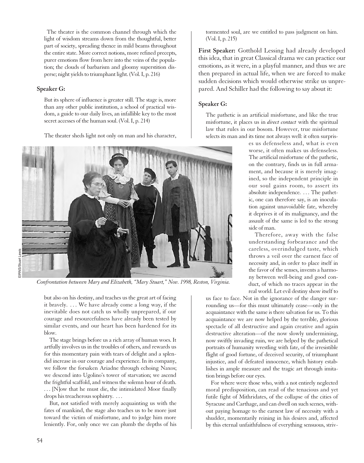The theater is the common channel through which the light of wisdom streams down from the thoughtful, better part of society, spreading thence in mild beams throughout the entire state. More correct notions, more refined precepts, purer emotions flow from here into the veins of the population; the clouds of barbarism and gloomy superstition disperse; night yields to triumphant light. (Vol. I, p. 216)

#### **Speaker G:**

But its sphere of influence is greater still. The stage is, more than any other public institution, a school of practical wisdom, a guide to our daily lives, an infallible key to the most secret accesses of the human soul. (Vol. I, p. 214)

The theater sheds light not only on man and his character,



but also on his destiny, and teaches us the great art of facing it bravely. . . . We have already come a long way, if the inevitable does not catch us wholly unprepared, if our courage and resourcefulness have already been tested by similar events, and our heart has been hardened for its blow.

The stage brings before us a rich array of human woes. It artfully involves us in the troubles of others, and rewards us for this momentary pain with tears of delight and a splendid increase in our courage and experience. In its company, we follow the forsaken Ariadne through echoing Naxos; we descend into Ugolino's tower of starvation; we ascend the frightful scaffold, and witness the solemn hour of death. . . . [N]ow that he must die, the intimidated Moor finally drops his treacherous sophistry. . . .

But, not satisfied with merely acquainting us with the fates of mankind, the stage also teaches us to be more just toward the victim of misfortune, and to judge him more leniently. For, only once we can plumb the depths of his

tormented soul, are we entitled to pass judgment on him. (Vol. I, p. 215)

**First Speaker:** Gotthold Lessing had already developed this idea, that in great Classical drama we can practice our emotions, as it were, in a playful manner, and thus we are then prepared in actual life, when we are forced to make sudden decisions which would otherwise strike us unprepared. And Schiller had the following to say about it:

#### **Speaker G:**

The pathetic is an artificial misfortune, and like the true misfortune, it places us in *direct contact* with the spiritual law that rules in our bosom. However, true misfortune selects its man and its time not always well: it often surpris-

> es us defenseless and, what is even worse, it often makes us defenseless. The artificial misfortune of the pathetic, on the contrary, finds us in full armament, and because it is merely imagined, so the independent principle in our soul gains room, to assert its absolute independence. . . . The pathetic, one can therefore say, is an inoculation against unavoidable fate, whereby it deprives it of its malignancy, and the assault of the same is led to the strong side of man.

> Therefore, away with the false understanding forbearance and the careless, overindulged taste, which throws a veil over the earnest face of necessity and, in order to place itself in the favor of the senses, invents a harmony between well-being and good conduct, of which no traces appear in the real world. Let evil destiny show itself to

us face to face. Not in the ignorance of the danger surrounding us—for this must ultimately cease—only in the acquaintance with the same is there salvation for us. To this acquaintance we are now helped by the terrible, glorious spectacle of all destructive and again creative and again destructive alteration—of the now slowly undermining, now swiftly invading ruin, we are helped by the pathetical portraits of humanity wrestling with fate, of the irresistible flight of good fortune, of deceived security, of triumphant injustice, and of defeated innocence, which history establishes in ample measure and the tragic art through imitation brings before our eyes.

For where were those who, with a not entirely neglected moral predisposition, can read of the tenacious and yet futile fight of Mithridates, of the collapse of the cities of Syracuse and Carthage, and can dwell on such scenes, without paying homage to the earnest law of necessity with a shudder, momentarily reining in his desires and, affected by this eternal unfaithfulness of everything sensuous, striv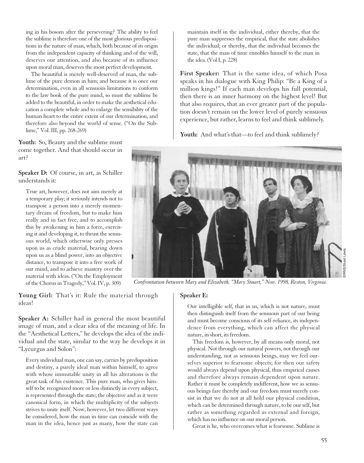ing in his bosom after the persevering? The ability to feel the sublime is therefore one of the most glorious predispositions in the nature of man, which, both because of its origin from the independent capacity of thinking and of the will, deserves our attention, and also because of its influence upon moral man, deserves the most perfect development.

The beautiful is merely well-deserved of man, the sublime of the pure demon in him; and because it is once our determination, even in all sensuous limitations to conform to the law book of the pure mind, so must the sublime be added to the beautiful, in order to make the aesthetical education a complete whole and to enlarge the sensibility of the human heart to the entire extent of our determination, and therefore also beyond the world of sense. ("On the Sublime," Vol. III, pp. 268-269)

Youth: So, Beauty and the sublime must come together. And that should occur in art?

**Speaker D:** Of course, in art, as Schiller understands it:

True art, however, does not aim merely at a temporary play; it seriously intends not to transpose a person into a merely momentary dream of freedom, but to make him really and in fact free, and to accomplish this by awakening in him a force, exercising it and developing it, to thrust the sensuous world, which otherwise only presses upon us as crude material, bearing down upon us as a blind power, into an objective distance, to transpose it into a free work of our mind, and to achieve mastery over the material with ideas. ("On the Employment of the Chorus in Tragedy," Vol. IV, p. 309)

**Young Girl:** That's it: Rule the material through ideas!

**Speaker A:** Schiller had in general the most beautiful image of man, and a clear idea of the meaning of life. In the "Aesthetical Letters," he develops the idea of the individual and the state, similar to the way he develops it in "Lycurgus and Solon":

Every individual man, one can say, carries by predisposition and destiny, a purely ideal man within himself, to agree with whose immutable unity in all his alterations is the great task of his existence. This pure man, who gives himself to be recognized more or less distinctly in every subject, is represented through the state; the objective and as it were canonical form, in which the multiplicity of the subjects strives to unite itself. Now, however, let two different ways be considered, how the man in time can coincide with the man in the idea, hence just as many, how the state can

maintain itself in the individual, either thereby, that the pure man suppresses the empirical, that the state abolishes the individual; or thereby, that the individual becomes the state, that the man of time ennobles himself to the man in the idea. (Vol I, p. 228)

**First Speaker:** That is the same idea, of which Posa speaks in his dialogue with King Philip: "Be a King of a million kings!" If each man develops his full potential, then there is an inner harmony on the highest level! But that also requires, that an ever greater part of the population doesn't remain on the lower level of purely sensuous experience, but rather, learns to feel and think sublimely.

Youth: And what's that—to feel and think sublimely?



*Confrontation between Mary and Elizabeth, "Mary Stuart," Nov. 1998, Reston, Virginia.*

#### **Speaker E:**

Our intelligible self, that in us, which is not nature, must then distinguish itself from the sensuous part of our being and must become conscious of its self-reliance, its independence from everything, which can affect the physical nature, in short, its freedom.

This freedom is, however, by all means only moral, not physical. Not through our natural powers, not through our understanding, not as sensuous beings, may we feel ourselves superior to fearsome objects; for then our safety would always depend upon physical, thus empirical causes and therefore always remain dependent upon nature. Rather it must be completely indifferent, how we as sensuous beings fare thereby and our freedom must merely consist in that we do not at all hold our physical condition, which can be determined through nature, to be our self, but rather as something regarded as external and foreign, which has no influence on our moral person.

Great is he, who overcomes what is fearsome. Sublime is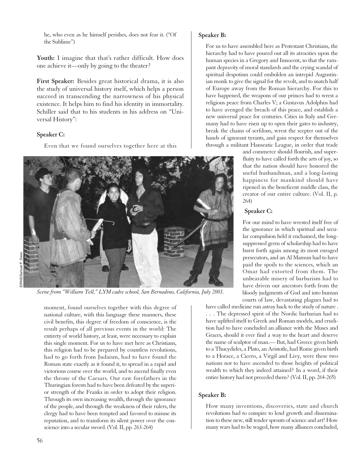he, who even as he himself perishes, does not fear it. ("Of the Sublime")

Youth: I imagine that that's rather difficult. How does one achieve it—only by going to the theater?

**First Speaker:** Besides great historical drama, it is also the study of universal history itself, which helps a person succeed in transcending the narrowness of his physical existence. It helps him to find his identity in immortality. Schiller said that to his students in his address on "Universal History":

#### **Speaker C:**

Even that we found ourselves together here at this



*Scene from "William Tell," LYM cadre school, San Bernadino, California, July 2001.*

moment, found ourselves together with this degree of national culture, with this language these manners, these civil benefits, this degree of freedom of conscience, is the result perhaps of all previous events in the world: The entirety of world history, at least, were necessary to explain this single moment. For us to have met here as Christians, this religion had to be prepared by countless revolutions, had to go forth from Judaism, had to have found the Roman state exactly as it found it, to spread in a rapid and victorious course over the world, and to ascend finally even the throne of the Caesars. Our raw forefathers in the Thuringian forests had to have been defeated by the superior strength of the Franks in order to adopt their religion. Through its own increasing wealth, through the ignorance of the people, and through the weakness of their rulers, the clergy had to have been tempted and favored to misuse its reputation, and to transform its silent power over the conscience into a secular sword. (Vol. II, pp. 263-264)

#### **Speaker B:**

For us to have assembled here as Protestant Christians, the hierarchy had to have poured out all its atrocities upon the human species in a Gregory and Innocent, so that the rampant depravity of moral standards and the crying scandal of spiritual despotism could embolden an intrepid Augustinian monk to give the signal for the revolt, and to snatch half of Europe away from the Roman hierarchy. For this to have happened, the weapons of our princes had to wrest a religious peace from Charles V; a Gustavus Adolphus had to have avenged the breach of this peace, and establish a new universal peace for centuries. Cities in Italy and Germany had to have risen up to open their gates to industry, break the chains of serfdom, wrest the scepter out of the hands of ignorant tyrants, and gain respect for themselves through a militant Hanseatic League, in order that trade

> and commerce should flourish, and superfluity to have called forth the arts of joy, so that the nation should have honored the useful husbandman, and a long-lasting happiness for mankind should have ripened in the beneficent middle class, the creator of our entire culture. (Vol. II, p. 264)

#### **Speaker C:**

For our mind to have wrested itself free of the ignorance in which spiritual and secular compulsion held it enchained, the longsuppressed germ of scholarship had to have burst forth again among its most enraged persecutors, and an Al Mamun had to have paid the spoils to the sciences, which an Omar had extorted from them. The unbearable misery of barbarism had to have driven our ancestors forth from the bloody judgments of God and into human courts of law, devastating plagues had to

have called medicine run astray back to the study of nature . . . . The depressed spirit of the Nordic barbarian had to have uplifted itself to Greek and Roman models, and erudition had to have concluded an alliance with the Muses and Graces, should it ever find a way to the heart and deserve the name of sculptor of man.— But, had Greece given birth to a Thucydides, a Plato, an Aristotle, had Rome given birth to a Horace, a Cicero, a Virgil and Livy, were these two nations not to have ascended to those heights of political wealth to which they indeed attained? In a word, if their entire history had not preceded them? (Vol. II, pp. 264-265)

#### **Speaker B:**

How many inventions, discoveries, state and church revolutions had to conspire to lend growth and dissemination to these new, still tender sprouts of science and art! How many wars had to be waged, how many alliances concluded,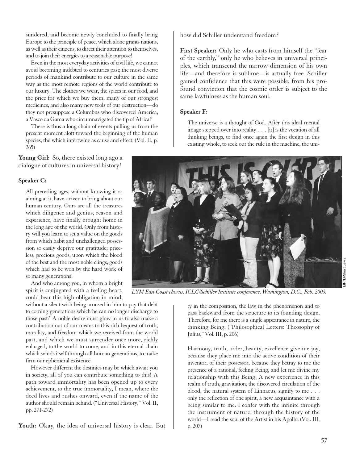sundered, and become newly concluded to finally bring Europe to the principle of peace, which alone grants nations, as well as their citizens, to direct their attention to themselves, and to join their energies to a reasonable purpose!

Even in the most everyday activities of civil life, we cannot avoid becoming indebted to centuries past; the most diverse periods of mankind contribute to our culture in the same way as the most remote regions of the world contribute to our luxury. The clothes we wear, the spices in our food, and the price for which we buy them, many of our strongest medicines, and also many new tools of our destruction—do they not presuppose a Columbus who discovered America, a Vasco da Gama who circumnavigated the tip of Africa?

There is thus a long chain of events pulling us from the present moment aloft toward the beginning of the human species, the which intertwine as cause and effect. (Vol. II, p. 265)

**Young Girl:** So, there existed long ago a dialogue of cultures in universal history!

#### **Speaker C:**

All preceding ages, without knowing it or aiming at it, have striven to bring about our human century. Ours are all the treasures which diligence and genius, reason and experience, have finally brought home in the long age of the world. Only from history will you learn to set a value on the goods from which habit and unchallenged possession so easily deprive our gratitude; priceless, precious goods, upon which the blood of the best and the most noble clings, goods which had to be won by the hard work of so many generations!

And who among you, in whom a bright spirit is conjugated with a feeling heart, could bear this high obligation in mind,

without a silent wish being aroused in him to pay that debt to coming generations which he can no longer discharge to those past? A noble desire must glow in us to also make a contribution out of our means to this rich bequest of truth, morality, and freedom which we received from the world past, and which we must surrender once more, richly enlarged, to the world to come, and in this eternal chain which winds itself through all human generations, to make firm our ephemeral existence.

However different the destinies may be which await you in society, all of you can contribute something to this! A path toward immortality has been opened up to every achievement, to the true immortality, I mean, where the deed lives and rushes onward, even if the name of the author should remain behind. ("Universal History," Vol. II, pp. 271-272)

**Youth:** Okay, the idea of universal history is clear. But

how did Schiller understand freedom?

**First Speaker:** Only he who casts from himself the "fear of the earthly," only he who believes in universal principles, which transcend the narrow dimension of his own life—and therefore is sublime—is actually free. Schiller gained confidence that this were possible, from his profound conviction that the cosmic order is subject to the same lawfulness as the human soul.

#### **Speaker F:**

The universe is a thought of God. After this ideal mental image stepped over into reality . . . [it] is the vocation of all thinking beings, to find once again the first design in this existing whole, to seek out the rule in the machine, the uni-



*LYM East Coast chorus, ICLC/Schiller Institute conference, Washington, D.C., Feb. 2003.*

ty in the composition, the law in the phenomenon and to pass backward from the structure to its founding design. Therefore, for me there is a single appearance in nature, the thinking Being. ("Philosophical Letters: Theosophy of Julius," Vol. III, p. 206)

Harmony, truth, order, beauty, excellence give me joy, because they place me into the active condition of their inventor, of their possessor, because they betray to me the presence of a rational, feeling Being, and let me divine my relationship with this Being. A new experience in this realm of truth, gravitation, the discovered circulation of the blood, the natural system of Linnaeus, signify to me . . . only the reflection of one spirit, a new acquaintance with a being similar to me. I confer with the infinite through the instrument of nature, through the history of the world—I read the soul of the Artist in his Apollo. (Vol. III, p. 207)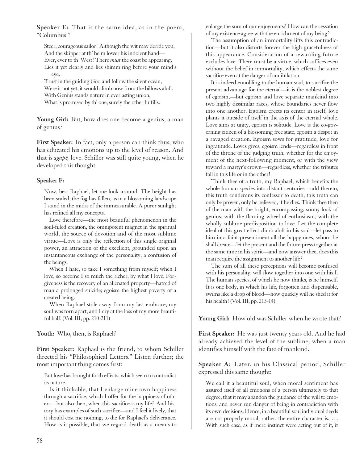**Speaker E:** That is the same idea, as in the poem, "Columbus"!

Steer, courageous sailor! Although the wit may deride you, And the skipper at th' helm lower his indolent hand— Ever, ever to th' West! There *must* the coast be appearing, Lies it yet clearly and lies shimm'ring before your mind's eye.

Trust in the guiding God and follow the silent ocean, Were it not yet, it would climb now from the billows aloft. With Genius stands nature in everlasting union, What is promised by th' one, surely the other fulfills.

Young Girl: But, how does one become a genius, a man of genius?

**First Speaker:** In fact, only a person can think thus, who has educated his emotions up to the level of reason. And that is *agape*, love. Schiller was still quite young, when he developed this thought:

#### **Speaker F:**

Now, best Raphael, let me look around. The height has been scaled, the fog has fallen, as in a blossoming landscape I stand in the midst of the immeasurable. A purer sunlight has refined all my concepts.

Love therefore—the most beautiful phenomenon in the soul-filled creation, the omnipotent magnet in the spiritual world, the source of devotion and of the most sublime virtue—Love is only the reflection of this single original power, an attraction of the excellent, grounded upon an instantaneous exchange of the personality, a confusion of the beings.

When I hate, so take I something from myself; when I love, so become I so much the richer, by what I love. Forgiveness is the recovery of an alienated property—hatred of man a prolonged suicide; egoism the highest poverty of a created being.

When Raphael stole away from my last embrace, my soul was torn apart, and I cry at the loss of my more beautiful half. (Vol. III, pp. 210-211)

**Youth:** Who, then, is Raphael?

**First Speaker:** Raphael is the friend, to whom Schiller directed his "Philosophical Letters." Listen further; the most important thing comes first:

But love has brought forth effects, which seem to contradict its nature.

Is it thinkable, that I enlarge mine own happiness through a sacrifice, which I offer for the happiness of others—but also then, when this sacrifice is my life? And history has examples of such sacrifice—and I feel it lively, that it should cost me nothing, to die for Raphael's deliverance. How is it possible, that we regard death as a means to

enlarge the sum of our enjoyments? How can the cessation of my existence agree with the enrichment of my being?

The assumption of an immortality lifts this contradiction—but it also distorts forever the high gracefulness of this appearance. Consideration of a rewarding future excludes love. There must be a virtue, which suffices even without the belief in immortality, which effects the same sacrifice even at the danger of annihilation.

It is indeed ennobling to the human soul, to sacrifice the present advantage for the eternal—it is the noblest degree of egoism,—but egoism and love separate mankind into two highly dissimilar races, whose boundaries never flow into one another. Egoism erects its center in itself; love plants it outside of itself in the axis of the eternal whole. Love aims at unity, egoism is solitude. Love is the co-governing citizen of a blossoming free state, egoism a despot in a ravaged creation. Egoism sows for gratitude, love for ingratitude. Loves gives, egoism lends—regardless in front of the throne of the judging truth, whether for the enjoyment of the next-following moment, or with the view toward a martyr's crown—regardless, whether the tributes fall in this life or in the other!

Think thee of a truth, my Raphael, which benefits the whole human species into distant centuries—add thereto, this truth condemns its confessor to death, this truth can only be proven, only be believed, if he dies. Think thee then of the man with the bright, encompassing, sunny look of genius, with the flaming wheel of enthusiasm, with the wholly sublime predisposition to love. Let the complete ideal of this great effect climb aloft in his soul—let pass to him in a faint presentiment all the happy ones, whom he shall create—let the present and the future press together at the same time in his spirit—and now answer thee, does this man require the assignment to another life?

The sum of all these perceptions will become confused with his personality, will flow together into one with his I. The human species, of which he now thinks, is he himself. It is one body, in which his life, forgotten and dispensable, swims like a drop of blood—how quickly will he shed it for his health! (Vol. III, pp. 213-14)

Young Girl: How old was Schiller when he wrote that?

**First Speaker:** He was just twenty years old. And he had already achieved the level of the sublime, when a man identifies himself with the fate of mankind.

**Speaker A:** Later, in his Classical period, Schiller expressed this same thought:

We call it a beautiful soul, when moral sentiment has assured itself of all emotions of a person ultimately to that degree, that it may abandon the guidance of the will to emotions, and never run danger of being in contradiction with its own decisions. Hence, in a beautiful soul individual deeds are not properly moral, rather, the entire character is. . . . With such ease, as if mere instinct were acting out of it, it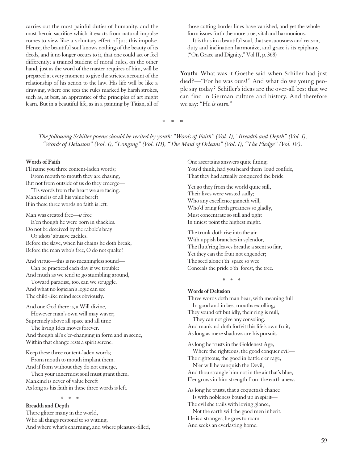carries out the most painful duties of humanity, and the most heroic sacrifice which it exacts from natural impulse comes to view like a voluntary effect of just this impulse. Hence, the beautiful soul knows nothing of the beauty of its deeds, and it no longer occurs to it, that one could act or feel differently; a trained student of moral rules, on the other hand, just as the word of the master requires of him, will be prepared at every moment to give the strictest account of the relationship of his action to the law. His life will be like a drawing, where one sees the rules marked by harsh strokes, such as, at best, an apprentice of the principles of art might learn. But in a beautiful life, as in a painting by Titian, all of those cutting border lines have vanished, and yet the whole form issues forth the more true, vital and harmonious.

It is thus in a beautiful soul, that sensuousness and reason, duty and inclination harmonize, and grace is its epiphany. ("On Grace and Dignity," Vol II, p. 368)

Youth: What was it Goethe said when Schiller had just died?—"For he was ours!" And what do we young people say today? Schiller's ideas are the over-all best that we can find in German culture and history. And therefore we say: "He *is* ours."

\*\*\*

*The following Schiller poems should be recited by youth: "Words of Faith" (Vol. I), "Breadth and Depth" (Vol. I), "Words of Delusion" (Vol. I), "Longing" (Vol. III), "The Maid of Orleans" (Vol. I), "The Pledge" (Vol. IV).*

#### **Words of Faith**

I'll name you three content-laden words; From mouth to mouth they are chasing, But not from outside of us do they emerge—

'Tis words from the heart we are facing. Mankind is of all his value bereft If in these three words no faith is left.

Man was created free—*is* free E'en though he were born in shackles. Do not be deceived by the rabble's bray

Or idiots' abusive cackles. Before the slave, when his chains he doth break, Before the man who's free, O do not quake!

And virtue—this is no meaningless sound— Can be practiced each day if we trouble: And much as we tend to go stumbling around,

Toward paradise, too, can we struggle. And what no logician's logic can see The child-like mind sees obviously.

And one God there is, a Will divine,

However man's own will may waver; Supremely above all space and all time

The living Idea moves forever. And though all's e'er-changing in form and in scene, Within that change rests a spirit serene.

Keep these three content-laden words; From mouth to mouth implant them.

And if from without they do not emerge, Then your innermost soul must grant them. Mankind is never of value bereft As long as his faith in these three words is left.

\*\*\*

#### **Breadth and Depth**

There glitter many in the world, Who all things respond to so witting, And where what's charming, and where pleasure-filled,

One ascertains answers quite fitting; You'd think, had you heard them 'loud confide, That they had actually conquered the bride.

Yet go they from the world quite still, Their lives were wasted sadly; Who any excellence gaineth will, Who'd bring forth greatness so gladly, Must concentrate so still and tight In tiniest point the highest might.

The trunk doth rise into the air With uppish branches in splendor, The flutt'ring leaves breathe a scent so fair, Yet they can the fruit not engender; The seed alone i'th' space so wee Conceals the pride o'th' forest, the tree.

\*\*\*

#### **Words of Delusion**

Three words doth man hear, with meaning full In good and in best mouths extolling; They sound off but idly, their ring is null, They can not give any consoling. And mankind doth forfeit this life's own fruit, As long as mere shadows are his pursuit.

As long he trusts in the Goldenest Age, Where the righteous, the good conquer evil— The righteous, the good in battle e'er rage, N'er will he vanquish the Devil, And thou strangle him not in the air that's blue, E'er grows in him strength from the earth anew.

As long he trusts, that a coquettish chance Is with nobleness bound up in spirit— The evil she trails with loving glance, Not the earth will the good men inherit. He is a stranger, he goes to roam And seeks an everlasting home.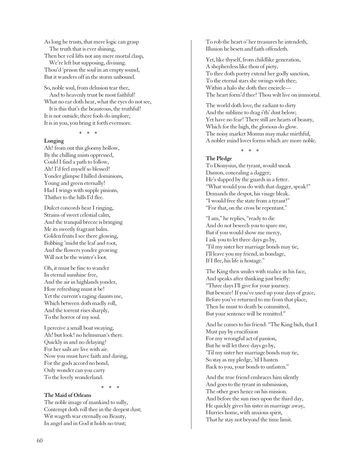As long he trusts, that mere logic can grasp The truth that is ever shining, Then her veil lifts not any mere mortal clasp, We're left but supposing, divining. Thou'd 'prison the soul in an empty sound, But it wanders off in the storm unbound.

So, noble soul, from delusion tear thee, And to heavenly trust be most faithful! What no ear doth hear, what the eyes do not see, It is this that's the beauteous, the truthful! It is not outside, there fools do implore, It is in you, you bring it forth evermore.

\*\*\*

#### **Longing**

Ah! from out this gloomy hollow, By the chilling mists oppressed, Could I find a path to follow, Ah! I'd feel myself so blessed! Yonder glimpse I hilled dominions, Young and green eternally! Had I wings with supple pinions, Thither to the hills I'd flee.

Dulcet concords hear I ringing, Strains of sweet celestial calm, And the tranquil breeze is bringing Me its sweetly fragrant balm. Golden fruits I see there glowing, Bobbing 'midst the leaf and root, And the flowers yonder growing Will not be the winter's loot.

Oh, it must be fine to wander In eternal sunshine free, And the air in highlands yonder, How refreshing must it be! Yet the current's raging daunts me, Which between doth madly roll, And the torrent rises sharply, To the horror of my soul.

I perceive a small boat swaying, Ah! but look! no helmsman's there. Quickly in and no delaying! For her sails are live with air. Now you must have faith and daring, For the gods accord no bond, Only wonder can you carry To the lovely wonderland.

\*\*\*

**The Maid of Orleans** The noble image of mankind to sully, Contempt doth roll thee in the deepest dust; Wit wageth war eternally on Beauty, In angel and in God it holds no trust;

To rob the heart o' her treasures he intendeth, Illusion he besets and faith offendeth.

Yet, like thyself, from childlike generation, A shepherdess like thou of piety, To thee doth poetry extend her godly sanction, To the eternal stars she swings with thee; Within a halo she doth thee encircle— The heart form'd thee! Thou wilt live on immortal.

The world doth love, the radiant to dirty And the sublime to drag i'th' dust below; Yet have no fear! There still are hearts of beauty, Which for the high, the glorious do glow. The noisy market Momus may make mirthful, A nobler mind loves forms which are more noble.

\*\*\*

#### **The Pledge**

To Dionysius, the tyrant, would sneak Damon, concealing a dagger; He's slapped by the guards in a fetter. "What would you do with that dagger, speak!" Demands the despot, his visage bleak. "I would free the state from a tyrant!" "For that, on the cross be repentant."

"I am," he replies, "ready to die And do not beseech you to spare me, But if you would show me mercy, I ask you to let three days go by, 'Til my sister her marriage bonds may tie, I'll leave you my friend, in bondage, If I flee, his life is hostage."

The King then smiles with malice in his face, And speaks after thinking just briefly: "Three days I'll give for your journey. But beware! If you've used up your days of grace, Before you've returned to me from that place, Then he must to death be committed, But your sentence will be remitted."

And he comes to his friend: "The King bids, that I Must pay by crucifixion For my wrongful act of passion, But he will let three days go by, 'Til my sister her marriage bonds may tie, So stay as my pledge, 'til I hasten Back to you, your bonds to unfasten."

And the true friend embraces him silently And goes to the tyrant in submission, The other goes hence on his mission. And before the sun rises upon the third day, He quickly gives his sister in marriage away, Hurries home, with anxious spirit, That he stay not beyond the time limit.